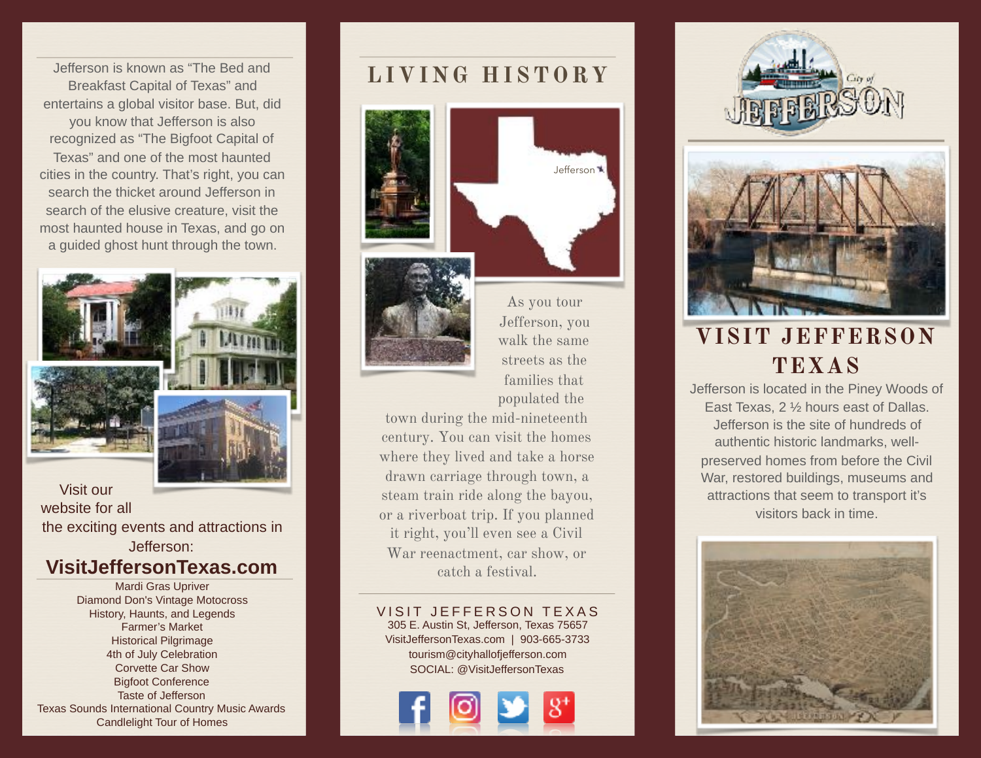**LIVING HISTORY** Jefferson is known as "The Bed and Breakfast Capital of Texas" and entertains a global visitor base. But, did you know that Jefferson is also recognized as "The Bigfoot Capital of Texas" and one of the most haunted cities in the country. That's right, you can search the thicket around Jefferson in search of the elusive creature, visit the most haunted house in Texas, and go on a guided ghost hunt through the town.



Visit our website for all the exciting events and attractions in Jefferson:

## **VisitJeffersonTexas.com**

Mardi Gras Upriver Diamond Don's Vintage Motocross History, Haunts, and Legends Farmer's Market Historical Pilgrimage 4th of July Celebration Corvette Car Show Bigfoot Conference Taste of Jefferson Texas Sounds International Country Music Awards Candlelight Tour of Homes





As you tour Jefferson, you walk the same streets as the families that populated the

town during the mid-nineteenth century. You can visit the homes where they lived and take a horse drawn carriage through town, a steam train ride along the bayou, or a riverboat trip. If you planned it right, you'll even see a Civil War reenactment, car show, or catch a festival.

VISIT JEFFERSON TEXAS 305 E. Austin St, Jefferson, Texas 75657 [VisitJeffersonTexas.com](http://VisitJeffersonTexas.com) | 903-665-3733 [tourism@cityhallofjefferson.com](mailto:tourism@cityhallofjefferson.com) SOCIAL: @VisitJeffersonTexas







# **VISIT JEFFERSON TEXAS**

Jefferson is located in the Piney Woods of East Texas, 2 ½ hours east of Dallas. Jefferson is the site of hundreds of authentic historic landmarks, wellpreserved homes from before the Civil War, restored buildings, museums and attractions that seem to transport it's visitors back in time.